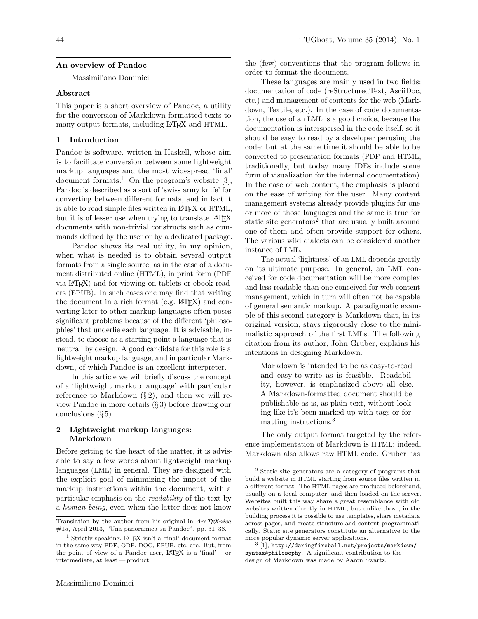#### An overview of Pandoc

Massimiliano Dominici

#### Abstract

This paper is a short overview of Pandoc, a utility for the conversion of Markdown-formatted texts to many output formats, including LATEX and HTML.

### 1 Introduction

Pandoc is software, written in Haskell, whose aim is to facilitate conversion between some lightweight markup languages and the most widespread 'final' document formats.<sup>1</sup> On the program's website [3], Pandoc is described as a sort of 'swiss army knife' for converting between different formats, and in fact it is able to read simple files written in LAT<sub>F</sub>X or HTML; but it is of lesser use when trying to translate LATEX documents with non-trivial constructs such as commands defined by the user or by a dedicated package.

Pandoc shows its real utility, in my opinion, when what is needed is to obtain several output formats from a single source, as in the case of a document distributed online (HTML), in print form (PDF via LATEX) and for viewing on tablets or ebook readers (EPUB). In such cases one may find that writing the document in a rich format (e.g. LAT<sub>EX</sub>) and converting later to other markup languages often poses significant problems because of the different 'philosophies' that underlie each language. It is advisable, instead, to choose as a starting point a language that is 'neutral' by design. A good candidate for this role is a lightweight markup language, and in particular Markdown, of which Pandoc is an excellent interpreter.

In this article we will briefly discuss the concept of a 'lightweight markup language' with particular reference to Markdown  $(\S 2)$ , and then we will review Pandoc in more details (§ 3) before drawing our conclusions  $(\S 5)$ .

# 2 Lightweight markup languages: Markdown

Before getting to the heart of the matter, it is advisable to say a few words about lightweight markup languages (LML) in general. They are designed with the explicit goal of minimizing the impact of the markup instructions within the document, with a particular emphasis on the readability of the text by a human being, even when the latter does not know

the (few) conventions that the program follows in order to format the document.

These languages are mainly used in two fields: documentation of code (reStructuredText, AsciiDoc, etc.) and management of contents for the web (Markdown, Textile, etc.). In the case of code documentation, the use of an LML is a good choice, because the documentation is interspersed in the code itself, so it should be easy to read by a developer perusing the code; but at the same time it should be able to be converted to presentation formats (PDF and HTML, traditionally, but today many IDEs include some form of visualization for the internal documentation). In the case of web content, the emphasis is placed on the ease of writing for the user. Many content management systems already provide plugins for one or more of those languages and the same is true for static site generators<sup>2</sup> that are usually built around one of them and often provide support for others. The various wiki dialects can be considered another instance of LML.

The actual 'lightness' of an LML depends greatly on its ultimate purpose. In general, an LML conceived for code documentation will be more complex and less readable than one conceived for web content management, which in turn will often not be capable of general semantic markup. A paradigmatic example of this second category is Markdown that, in its original version, stays rigorously close to the minimalistic approach of the first LMLs. The following citation from its author, John Gruber, explains his intentions in designing Markdown:

Markdown is intended to be as easy-to-read and easy-to-write as is feasible. Readability, however, is emphasized above all else. A Markdown-formatted document should be publishable as-is, as plain text, without looking like it's been marked up with tags or formatting instructions.<sup>3</sup>

The only output format targeted by the reference implementation of Markdown is HTML; indeed, Markdown also allows raw HTML code. Gruber has

Translation by the author from his original in  $ArsTEXnica$ #15, April 2013, "Una panoramica su Pandoc", pp. 31–38.

<sup>1</sup> Strictly speaking, LATEX isn't a 'final' document format in the same way PDF, ODF, DOC, EPUB, etc. are. But, from the point of view of a Pandoc user, LATEX is a 'final'— or intermediate, at least — product.

<sup>2</sup> Static site generators are a category of programs that build a website in HTML starting from source files written in a different format. The HTML pages are produced beforehand, usually on a local computer, and then loaded on the server. Websites built this way share a great resemblance with old websites written directly in HTML, but unlike those, in the building process it is possible to use templates, share metadata across pages, and create structure and content programmatically. Static site generators constitute an alternative to the more popular dynamic server applications.

 $^3$  [1], http://daringfireball.net/projects/markdown/ syntax#philosophy. A significant contribution to the design of Markdown was made by Aaron Swartz.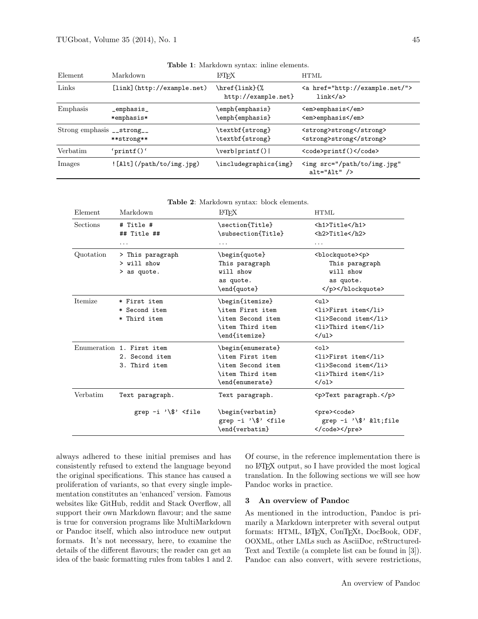| Element                                | Markdown                    | LATFX                                | <b>HTML</b>                                                     |
|----------------------------------------|-----------------------------|--------------------------------------|-----------------------------------------------------------------|
| Links                                  | [link] (http://example.net) | \href{link}{%<br>http://example.net} | <a href="http://example.net/"><br/><math>link</math> /a&gt;</a> |
| Emphasis                               | _emphasis_<br>*emphasis*    | \emph{emphasis}<br>\emph{emphasis}   | <em>emphasis</em><br><em>emphasis</em>                          |
| Strong emphasis ${\sf \_strut\_strut}$ | **strong**                  | \textbf{strong}<br>\textbf{strong}   | <strong>strong</strong><br><strong>strong</strong>              |
| Verbatim                               | 'printf $()$ '              | \verb printf()                       | <code>printf()</code>                                           |
| Images                                 | $[Allt]$ (/path/to/img.jpg) | \includegraphics{img}                | <img <br="" src="/path/to/img.jpg"/> $alt="Alt"$ />             |

|  |  | Table 1: Markdown syntax: inline elements. |  |  |  |
|--|--|--------------------------------------------|--|--|--|
|--|--|--------------------------------------------|--|--|--|

| Element        | Markdown                                                                                                                                                                                                            | LATFX                                                                                             | <b>HTML</b>                                                                                                       |
|----------------|---------------------------------------------------------------------------------------------------------------------------------------------------------------------------------------------------------------------|---------------------------------------------------------------------------------------------------|-------------------------------------------------------------------------------------------------------------------|
| Sections       | # Title #<br>## Title ##                                                                                                                                                                                            | \section{Title}<br>\subsection{Title}                                                             | <h1>Title</h1><br><h2>Title</h2>                                                                                  |
|                | .                                                                                                                                                                                                                   | .                                                                                                 | .                                                                                                                 |
| Quotation      | > This paragraph<br>$>$ will show<br>> as quote.                                                                                                                                                                    | \begin{quote}<br>This paragraph<br>will show<br>as quote.<br>\end{quote}                          | <blockquote><p><br/>This paragraph<br/>will show<br/>as quote.<br/></p></blockquote>                              |
| <b>Itemize</b> | * First item<br>* Second item<br>* Third item                                                                                                                                                                       | \begin{itemize}<br>\item First item<br>\item Second item<br>\item Third item<br>\end{itemize}     | $\langle$ ul><br><li>First item</li><br><li>Second item</li><br><li>Third item</li><br>$\langle \text{ul}\rangle$ |
|                | Enumeration 1. First item<br>2. Second item<br>3. Third item                                                                                                                                                        | \begin{enumerate}<br>\item First item<br>\item Second item<br>\item Third item<br>\end{enumerate} | $01>$<br><li>First item</li><br><li>Second item</li><br><li>Third item</li><br>$\langle$ /ol>                     |
| Verbatim       | Text paragraph.                                                                                                                                                                                                     | Text paragraph.                                                                                   | <p>Text paragraph.</p>                                                                                            |
|                | grep $-i \sqrt{\$ <file< td=""><td>\begin{verbatim}<br/>grep <math>-i</math> '\\$' <file<br>\end{verbatim}</file<br></td><td><pre><code><br/>grep <math>-i \wedge</math>\$' &lt;file<br/></code></pre></td></file<> | \begin{verbatim}<br>grep $-i$ '\\$' <file<br>\end{verbatim}</file<br>                             | <pre><code><br/>grep <math>-i \wedge</math>\$' &lt;file<br/></code></pre>                                         |

always adhered to these initial premises and has consistently refused to extend the language beyond the original specifications. This stance has caused a proliferation of variants, so that every single implementation constitutes an 'enhanced' version. Famous websites like GitHub, reddit and Stack Overflow, all support their own Markdown flavour; and the same is true for conversion programs like MultiMarkdown or Pandoc itself, which also introduce new output formats. It's not necessary, here, to examine the details of the different flavours; the reader can get an idea of the basic formatting rules from tables 1 and 2. Of course, in the reference implementation there is no LATEX output, so I have provided the most logical translation. In the following sections we will see how Pandoc works in practice.

#### 3 An overview of Pandoc

As mentioned in the introduction, Pandoc is primarily a Markdown interpreter with several output formats: HTML, LATEX, ConTEXt, DocBook, ODF, OOXML, other LMLs such as AsciiDoc, reStructured-Text and Textile (a complete list can be found in [3]). Pandoc can also convert, with severe restrictions,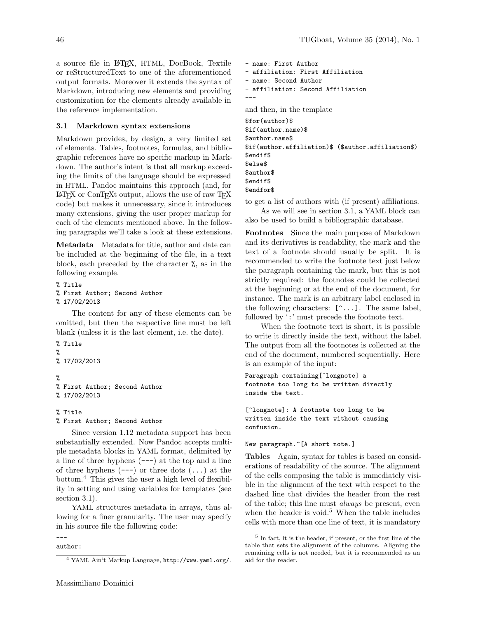a source file in LATEX, HTML, DocBook, Textile or reStructuredText to one of the aforementioned output formats. Moreover it extends the syntax of Markdown, introducing new elements and providing customization for the elements already available in the reference implementation.

# 3.1 Markdown syntax extensions

Markdown provides, by design, a very limited set of elements. Tables, footnotes, formulas, and bibliographic references have no specific markup in Markdown. The author's intent is that all markup exceeding the limits of the language should be expressed in HTML. Pandoc maintains this approach (and, for LATEX or ConTEXt output, allows the use of raw TEX code) but makes it unnecessary, since it introduces many extensions, giving the user proper markup for each of the elements mentioned above. In the following paragraphs we'll take a look at these extensions.

Metadata Metadata for title, author and date can be included at the beginning of the file, in a text block, each preceded by the character %, as in the following example.

```
% Title
% First Author; Second Author
% 17/02/2013
```
The content for any of these elements can be omitted, but then the respective line must be left blank (unless it is the last element, i.e. the date).

```
% Title
%
% 17/02/2013
%
% First Author; Second Author
% 17/02/2013
```
% Title % First Author; Second Author

Since version 1.12 metadata support has been substantially extended. Now Pandoc accepts multiple metadata blocks in YAML format, delimited by a line of three hyphens  $(--)$  at the top and a line of three hyphens  $(--)$  or three dots  $( \ldots )$  at the bottom.<sup>4</sup> This gives the user a high level of flexibility in setting and using variables for templates (see section 3.1).

YAML structures metadata in arrays, thus allowing for a finer granularity. The user may specify in his source file the following code:

#### -- author:

```
- name: First Author
- affiliation: First Affiliation
- name: Second Author
- affiliation: Second Affiliation
---
and then, in the template
$for(author)$
$if(author.name)$
$author.name$
$if(author.affiliation)$ ($author.affiliation$)
$endif$
$else$
$author$
$endif$
```
\$endfor\$

to get a list of authors with (if present) affiliations.

As we will see in section 3.1, a YAML block can also be used to build a bibliographic database.

Footnotes Since the main purpose of Markdown and its derivatives is readability, the mark and the text of a footnote should usually be split. It is recommended to write the footnote text just below the paragraph containing the mark, but this is not strictly required: the footnotes could be collected at the beginning or at the end of the document, for instance. The mark is an arbitrary label enclosed in the following characters:  $[\hat{\ } \dots]$ . The same label, followed by ':' must precede the footnote text.

When the footnote text is short, it is possible to write it directly inside the text, without the label. The output from all the footnotes is collected at the end of the document, numbered sequentially. Here is an example of the input:

```
Paragraph containing[^longnote] a
footnote too long to be written directly
inside the text.
```
[^longnote]: A footnote too long to be written inside the text without causing confusion.

### New paragraph.^[A short note.]

Tables Again, syntax for tables is based on considerations of readability of the source. The alignment of the cells composing the table is immediately visible in the alignment of the text with respect to the dashed line that divides the header from the rest of the table; this line must always be present, even when the header is void.<sup>5</sup> When the table includes cells with more than one line of text, it is mandatory

<sup>4</sup> YAML Ain't Markup Language, http://www.yaml.org/.

<sup>5</sup> In fact, it is the header, if present, or the first line of the table that sets the alignment of the columns. Aligning the remaining cells is not needed, but it is recommended as an aid for the reader.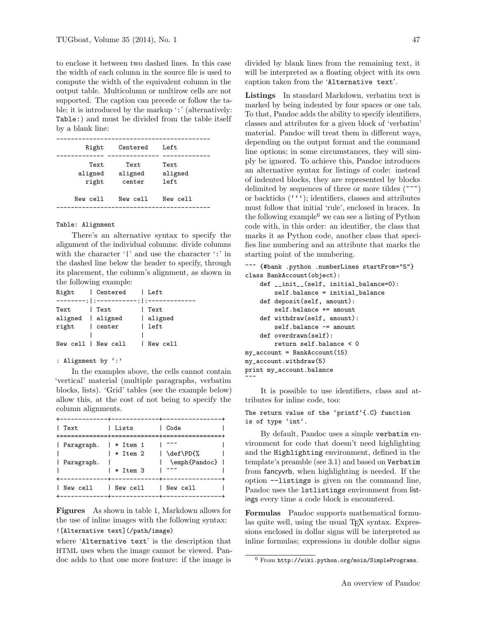to enclose it between two dashed lines. In this case the width of each column in the source file is used to compute the width of the equivalent column in the output table. Multicolumn or multirow cells are not supported. The caption can precede or follow the table; it is introduced by the markup ':' (alternatively: Table:) and must be divided from the table itself by a blank line:

| Right                    | Centered                   | Left                      |
|--------------------------|----------------------------|---------------------------|
| Text<br>aligned<br>right | Text.<br>aligned<br>center | Text.<br>aligned<br>left. |
| New cell                 | New cell                   | New cell                  |
|                          |                            |                           |

#### Table: Alignment

There's an alternative syntax to specify the alignment of the individual columns: divide columns with the character '|' and use the character ':' in the dashed line below the header to specify, through its placement, the column's alignment, as shown in the following example:

| Right          | Centered   Left     |          |
|----------------|---------------------|----------|
|                |                     |          |
| Text           | Text                | Text     |
|                | aligned   aligned   | aligned  |
| right   center |                     | left     |
|                |                     |          |
|                | New cell   New cell | New cell |

#### : Alignment by ':'

In the examples above, the cells cannot contain 'vertical' material (multiple paragraphs, verbatim blocks, lists). 'Grid' tables (see the example below) allow this, at the cost of not being to specify the column alignments.

| Text                                | Lists                | Code                       |  |
|-------------------------------------|----------------------|----------------------------|--|
| Paragraph.   * Item 1<br>Paragraph. | * Item 2<br>* Item 3 | \def\PD{%<br>\emph{Pandoc} |  |
| New cell                            | New cell             | New cell                   |  |
|                                     |                      |                            |  |

Figures As shown in table 1, Markdown allows for the use of inline images with the following syntax: ![Alternative text](/path/image)

where 'Alternative text' is the description that HTML uses when the image cannot be viewed. Pandoc adds to that one more feature: if the image is

divided by blank lines from the remaining text, it will be interpreted as a floating object with its own caption taken from the 'Alternative text'.

Listings In standard Markdown, verbatim text is marked by being indented by four spaces or one tab. To that, Pandoc adds the ability to specify identifiers, classes and attributes for a given block of 'verbatim' material. Pandoc will treat them in different ways, depending on the output format and the command line options; in some circumstances, they will simply be ignored. To achieve this, Pandoc introduces an alternative syntax for listings of code: instead of indented blocks, they are represented by blocks delimited by sequences of three or more tildes  $(***)$ or backticks  $(''')$ ; identifiers, classes and attributes must follow that initial 'rule', enclosed in braces. In the following example<sup>6</sup> we can see a listing of Python code with, in this order: an identifier, the class that marks it as Python code, another class that specifies line numbering and an attribute that marks the starting point of the numbering.

```
~~~ {#bank .python .numberLines startFrom="5"}
class BankAccount(object):
    def __init__(self, initial_balance=0):
        self.balance = initial_balance
    def deposit(self, amount):
        self.balance += amount
    def withdraw(self, amount):
        self.balance -= amount
    def overdrawn(self):
        return self.balance < 0
my_account = BankAccount(15)
my_account.withdraw(5)
print my_account.balance
~~~
```
It is possible to use identifiers, class and attributes for inline code, too:

### The return value of the 'printf'{.C} function is of type 'int'.

By default, Pandoc uses a simple verbatim environment for code that doesn't need highlighting and the Highlighting environment, defined in the template's preamble (see 3.1) and based on Verbatim from fancyvrb, when highlighting is needed. If the option --listings is given on the command line, Pandoc uses the lstlistings environment from listings every time a code block is encountered.

Formulas Pandoc supports mathematical formulas quite well, using the usual T<sub>EX</sub> syntax. Expressions enclosed in dollar signs will be interpreted as inline formulas; expressions in double dollar signs

 $6$  From http://wiki.python.org/moin/SimplePrograms.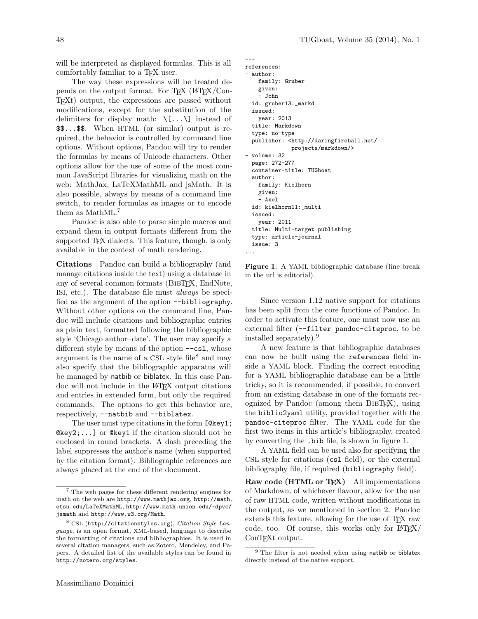will be interpreted as displayed formulas. This is all comfortably familiar to a T<sub>E</sub>X user.

The way these expressions will be treated depends on the output format. For TEX (LATEX/Con-TEXt) output, the expressions are passed without modifications, except for the substitution of the delimiters for display math:  $\[\ \cup \]$  instead of \$\$...\$\$. When HTML (or similar) output is required, the behavior is controlled by command line options. Without options, Pandoc will try to render the formulas by means of Unicode characters. Other options allow for the use of some of the most common JavaScript libraries for visualizing math on the web: MathJax, LaTeXMathML and jsMath. It is also possible, always by means of a command line switch, to render formulas as images or to encode them as MathML.<sup>7</sup>

Pandoc is also able to parse simple macros and expand them in output formats different from the supported TEX dialects. This feature, though, is only available in the context of math rendering.

Citations Pandoc can build a bibliography (and manage citations inside the text) using a database in any of several common formats (BibTEX, EndNote, ISI, etc.). The database file must always be specified as the argument of the option --bibliography. Without other options on the command line, Pandoc will include citations and bibliographic entries as plain text, formatted following the bibliographic style 'Chicago author–date'. The user may specify a different style by means of the option  $--csl$ , whose argument is the name of a CSL style file<sup>8</sup> and may also specify that the bibliographic apparatus will be managed by natbib or biblatex. In this case Pandoc will not include in the LATEX output citations and entries in extended form, but only the required commands. The options to get this behavior are, respectively, --natbib and --biblatex.

The user must type citations in the form [@key1; @key2;...] or @key1 if the citation should not be enclosed in round brackets. A dash preceding the label suppresses the author's name (when supported by the citation format). Bibliographic references are always placed at the end of the document.

```
---
references:
 author:
    family: Gruber
    given:
    - John
  id: gruber13:_markd
  issued:
    year: 2013
  title: Markdown
  type: no-type
  publisher: <http://daringfireball.net/
              projects/markdown/>
- volume: 32
  page: 272-277
  container-title: TUGboat
  author:
    family: Kielhorn
    given:
    - Axel
  id: kielhorn11:_multi
  issued:
    year: 2011
  title: Multi-target publishing
  type: article-journal
  issue: 3
...
```
Figure 1: A YAML bibliographic database (line break in the url is editorial).

Since version 1.12 native support for citations has been split from the core functions of Pandoc. In order to activate this feature, one must now use an external filter (--filter pandoc-citeproc, to be installed separately).<sup>9</sup>

A new feature is that bibliographic databases can now be built using the references field inside a YAML block. Finding the correct encoding for a YAML bibliographic database can be a little tricky, so it is recommended, if possible, to convert from an existing database in one of the formats recognized by Pandoc (among them BibTEX), using the biblio2yaml utility, provided together with the pandoc-citeproc filter. The YAML code for the first two items in this article's bibliography, created by converting the .bib file, is shown in figure 1.

A YAML field can be used also for specifying the CSL style for citations (csl field), or the external bibliography file, if required (bibliography field).

Raw code (HTML or T<sub>E</sub>X) All implementations of Markdown, of whichever flavour, allow for the use of raw HTML code, written without modifications in the output, as we mentioned in section 2. Pandoc extends this feature, allowing for the use of TEX raw code, too. Of course, this works only for LATEX/ ConT<sub>E</sub>Xt output.

<sup>7</sup> The web pages for these different rendering engines for math on the web are http://www.mathjax.org, http://math. etsu.edu/LaTeXMathML, http://www.math.union.edu/~dpvc/ jsmath and http://www.w3.org/Math.

 $8 \text{ CSL}$  (http://citationstyles.org), Citation Style Language, is an open format, XML-based, language to describe the formatting of citations and bibliographies. It is used in several citation managers, such as Zotero, Mendeley, and Papers. A detailed list of the available styles can be found in http://zotero.org/styles.

 $9$  The filter is not needed when using natbib or biblatex directly instead of the native support.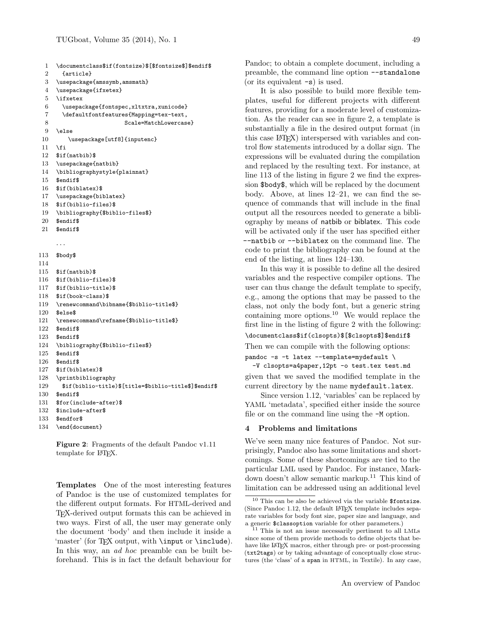```
1 \documentclass$if(fontsize)$[$fontsize$]$endif$
 2 {article}
 3 \usepackage{amssymb,amsmath}
 4 \usepackage{ifxetex}
 5 \ifxetex
 6 \usepackage{fontspec,xltxtra,xunicode}
 7 \defaultfontfeatures{Mapping=tex-text,
 8 Scale=MatchLowercase}
 9 \else
 10 \usepackage[utf8]{inputenc}
 11 \fi
 12 $if(natbib)$
 13 \usepackage{natbib}
 14 \bibliographystyle{plainnat}
 15 $endif$
 16 $if(biblatex)$
 17 \usepackage{biblatex}
 18 $if(biblio-files)$
 19 \bibliography{$biblio-files$}
 20 $endif$
 21 $endif$
     . . .
113 $body$
114
115 $if(natbib)$
116 $if(biblio-files)$
117 $if(biblio-title)$
118 $if(book-class)$
119 \renewcommand\bibname{$biblio-title$}
120 $else$
121 \renewcommand\refname{$biblio-title$}
122 $endif$
123 $endif$
124 \bibliography{$biblio-files$}
125 $endif$
126 $endif$
127 $if(biblatex)$
128 \printbibliography
129 $if(biblio-title)$[title=$biblio-title$]$endif$
130 $endif$
131 $for(include-after)$
132 $include-after$
133 $endfor$
```
134 \end{document}

Figure 2: Fragments of the default Pandoc v1.11 template for L<sup>AT</sup>FX.

Templates One of the most interesting features of Pandoc is the use of customized templates for the different output formats. For HTML-derived and TEX-derived output formats this can be achieved in two ways. First of all, the user may generate only the document 'body' and then include it inside a 'master' (for TEX output, with **\input** or **\include**). In this way, an *ad hoc* preamble can be built beforehand. This is in fact the default behaviour for

Pandoc; to obtain a complete document, including a preamble, the command line option --standalone (or its equivalent -s) is used.

It is also possible to build more flexible templates, useful for different projects with different features, providing for a moderate level of customization. As the reader can see in figure 2, a template is substantially a file in the desired output format (in this case LATEX) interspersed with variables and control flow statements introduced by a dollar sign. The expressions will be evaluated during the compilation and replaced by the resulting text. For instance, at line 113 of the listing in figure 2 we find the expression \$body\$, which will be replaced by the document body. Above, at lines 12–21, we can find the sequence of commands that will include in the final output all the resources needed to generate a bibliography by means of natbib or biblatex. This code will be activated only if the user has specified either --natbib or --biblatex on the command line. The code to print the bibliography can be found at the end of the listing, at lines 124–130.

In this way it is possible to define all the desired variables and the respective compiler options. The user can thus change the default template to specify, e.g., among the options that may be passed to the class, not only the body font, but a generic string containing more options.<sup>10</sup> We would replace the first line in the listing of figure 2 with the following:

```
\documentclass$if(clsopts)$[$clsopts$]$endif$
```

```
Then we can compile with the following options:
```

```
pandoc -s -t latex --template=mydefault \
  -V clsopts=a4paper,12pt -o test.tex test.md
given that we saved the modified template in the
current directory by the name mydefault.latex.
```
Since version 1.12, 'variables' can be replaced by YAML 'metadata', specified either inside the source file or on the command line using the -M option.

# 4 Problems and limitations

We've seen many nice features of Pandoc. Not surprisingly, Pandoc also has some limitations and shortcomings. Some of these shortcomings are tied to the particular LML used by Pandoc. For instance, Markdown doesn't allow semantic markup.<sup>11</sup> This kind of limitation can be addressed using an additional level

 $10$  This can be also be achieved via the variable \$fontsize. (Since Pandoc 1.12, the default LAT<sub>EX</sub> template includes separate variables for body font size, paper size and language, and a generic \$classoption variable for other parameters.)

<sup>&</sup>lt;sup>11</sup> This is not an issue necessarily pertinent to all LMLs since some of them provide methods to define objects that behave like LATEX macros, either through pre- or post-processing (txt2tags) or by taking advantage of conceptually close structures (the 'class' of a span in HTML, in Textile). In any case,